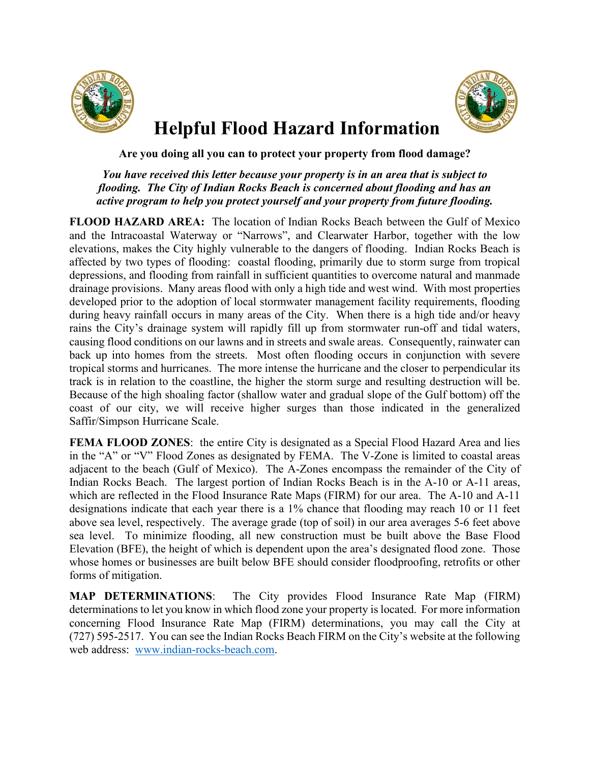



## **Helpful Flood Hazard Information**

## **Are you doing all you can to protect your property from flood damage?**

## *You have received this letter because your property is in an area that is subject to flooding. The City of Indian Rocks Beach is concerned about flooding and has an active program to help you protect yourself and your property from future flooding.*

**FLOOD HAZARD AREA:** The location of Indian Rocks Beach between the Gulf of Mexico and the Intracoastal Waterway or "Narrows", and Clearwater Harbor, together with the low elevations, makes the City highly vulnerable to the dangers of flooding. Indian Rocks Beach is affected by two types of flooding: coastal flooding, primarily due to storm surge from tropical depressions, and flooding from rainfall in sufficient quantities to overcome natural and manmade drainage provisions. Many areas flood with only a high tide and west wind. With most properties developed prior to the adoption of local stormwater management facility requirements, flooding during heavy rainfall occurs in many areas of the City. When there is a high tide and/or heavy rains the City's drainage system will rapidly fill up from stormwater run-off and tidal waters, causing flood conditions on our lawns and in streets and swale areas. Consequently, rainwater can back up into homes from the streets. Most often flooding occurs in conjunction with severe tropical storms and hurricanes. The more intense the hurricane and the closer to perpendicular its track is in relation to the coastline, the higher the storm surge and resulting destruction will be. Because of the high shoaling factor (shallow water and gradual slope of the Gulf bottom) off the coast of our city, we will receive higher surges than those indicated in the generalized Saffir/Simpson Hurricane Scale.

**FEMA FLOOD ZONES:** the entire City is designated as a Special Flood Hazard Area and lies in the "A" or "V" Flood Zones as designated by FEMA. The V-Zone is limited to coastal areas adjacent to the beach (Gulf of Mexico). The A-Zones encompass the remainder of the City of Indian Rocks Beach. The largest portion of Indian Rocks Beach is in the A-10 or A-11 areas, which are reflected in the Flood Insurance Rate Maps (FIRM) for our area. The A-10 and A-11 designations indicate that each year there is a 1% chance that flooding may reach 10 or 11 feet above sea level, respectively. The average grade (top of soil) in our area averages 5-6 feet above sea level. To minimize flooding, all new construction must be built above the Base Flood Elevation (BFE), the height of which is dependent upon the area's designated flood zone. Those whose homes or businesses are built below BFE should consider floodproofing, retrofits or other forms of mitigation.

**MAP DETERMINATIONS**: The City provides Flood Insurance Rate Map (FIRM) determinations to let you know in which flood zone your property is located. For more information concerning Flood Insurance Rate Map (FIRM) determinations, you may call the City at (727) 595-2517. You can see the Indian Rocks Beach FIRM on the City's website at the following web address: [www.indian-rocks-beach.com.](http://www.indian-rocks-beach.com/)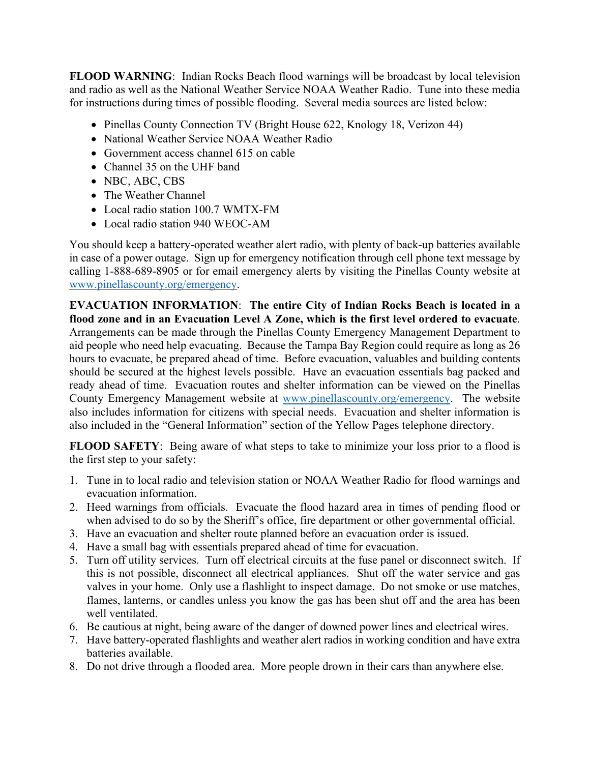**FLOOD WARNING**: Indian Rocks Beach flood warnings will be broadcast by local television and radio as well as the National Weather Service NOAA Weather Radio. Tune into these media for instructions during times of possible flooding. Several media sources are listed below:

- Pinellas County Connection TV (Bright House 622, Knology 18, Verizon 44)
- National Weather Service NOAA Weather Radio
- Government access channel 615 on cable
- Channel 35 on the UHF band
- NBC, ABC, CBS
- The Weather Channel
- Local radio station 100.7 WMTX-FM
- Local radio station 940 WEOC-AM

You should keep a battery-operated weather alert radio, with plenty of back-up batteries available in case of a power outage. Sign up for emergency notification through cell phone text message by calling 1-888-689-8905 or for email emergency alerts by visiting the Pinellas County website at [www.pinellascounty.org/emergency.](http://www.pinellascounty.org/emergency)

**EVACUATION INFORMATION**: **The entire City of Indian Rocks Beach is located in a flood zone and in an Evacuation Level A Zone, which is the first level ordered to evacuate**. Arrangements can be made through the Pinellas County Emergency Management Department to aid people who need help evacuating. Because the Tampa Bay Region could require as long as 26 hours to evacuate, be prepared ahead of time. Before evacuation, valuables and building contents should be secured at the highest levels possible. Have an evacuation essentials bag packed and ready ahead of time. Evacuation routes and shelter information can be viewed on the Pinellas County Emergency Management website at [www.pinellascounty.org/emergency.](http://www.pinellascounty.org/emergency) The website also includes information for citizens with special needs. Evacuation and shelter information is also included in the "General Information" section of the Yellow Pages telephone directory.

**FLOOD SAFETY:** Being aware of what steps to take to minimize your loss prior to a flood is the first step to your safety:

- 1. Tune in to local radio and television station or NOAA Weather Radio for flood warnings and evacuation information.
- 2. Heed warnings from officials. Evacuate the flood hazard area in times of pending flood or when advised to do so by the Sheriff's office, fire department or other governmental official.
- 3. Have an evacuation and shelter route planned before an evacuation order is issued.
- 4. Have a small bag with essentials prepared ahead of time for evacuation.
- 5. Turn off utility services. Turn off electrical circuits at the fuse panel or disconnect switch. If this is not possible, disconnect all electrical appliances. Shut off the water service and gas valves in your home. Only use a flashlight to inspect damage. Do not smoke or use matches, flames, lanterns, or candles unless you know the gas has been shut off and the area has been well ventilated.
- 6. Be cautious at night, being aware of the danger of downed power lines and electrical wires.
- 7. Have battery-operated flashlights and weather alert radios in working condition and have extra batteries available.
- 8. Do not drive through a flooded area. More people drown in their cars than anywhere else.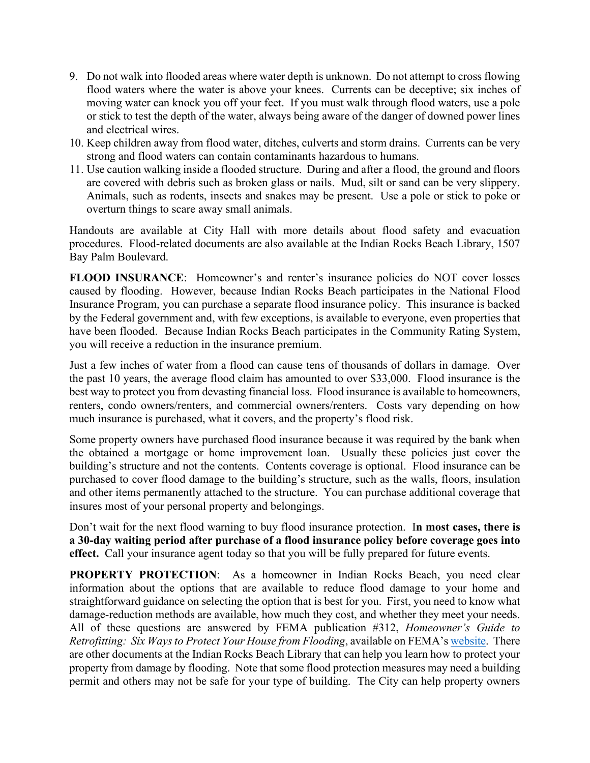- 9. Do not walk into flooded areas where water depth is unknown. Do not attempt to cross flowing flood waters where the water is above your knees. Currents can be deceptive; six inches of moving water can knock you off your feet. If you must walk through flood waters, use a pole or stick to test the depth of the water, always being aware of the danger of downed power lines and electrical wires.
- 10. Keep children away from flood water, ditches, culverts and storm drains. Currents can be very strong and flood waters can contain contaminants hazardous to humans.
- 11. Use caution walking inside a flooded structure. During and after a flood, the ground and floors are covered with debris such as broken glass or nails. Mud, silt or sand can be very slippery. Animals, such as rodents, insects and snakes may be present. Use a pole or stick to poke or overturn things to scare away small animals.

Handouts are available at City Hall with more details about flood safety and evacuation procedures. Flood-related documents are also available at the Indian Rocks Beach Library, 1507 Bay Palm Boulevard.

**FLOOD INSURANCE:** Homeowner's and renter's insurance policies do NOT cover losses caused by flooding. However, because Indian Rocks Beach participates in the National Flood Insurance Program, you can purchase a separate flood insurance policy. This insurance is backed by the Federal government and, with few exceptions, is available to everyone, even properties that have been flooded. Because Indian Rocks Beach participates in the Community Rating System, you will receive a reduction in the insurance premium.

Just a few inches of water from a flood can cause tens of thousands of dollars in damage. Over the past 10 years, the average flood claim has amounted to over \$33,000. Flood insurance is the best way to protect you from devasting financial loss. Flood insurance is available to homeowners, renters, condo owners/renters, and commercial owners/renters. Costs vary depending on how much insurance is purchased, what it covers, and the property's flood risk.

Some property owners have purchased flood insurance because it was required by the bank when the obtained a mortgage or home improvement loan. Usually these policies just cover the building's structure and not the contents. Contents coverage is optional. Flood insurance can be purchased to cover flood damage to the building's structure, such as the walls, floors, insulation and other items permanently attached to the structure. You can purchase additional coverage that insures most of your personal property and belongings.

Don't wait for the next flood warning to buy flood insurance protection. I**n most cases, there is a 30-day waiting period after purchase of a flood insurance policy before coverage goes into effect.** Call your insurance agent today so that you will be fully prepared for future events.

**PROPERTY PROTECTION:** As a homeowner in Indian Rocks Beach, you need clear information about the options that are available to reduce flood damage to your home and straightforward guidance on selecting the option that is best for you. First, you need to know what damage-reduction methods are available, how much they cost, and whether they meet your needs. All of these questions are answered by FEMA publication #312, *Homeowner's Guide to Retrofitting: Six Ways to Protect Your House from Flooding*, available on FEMA'[s website.](https://www.fema.gov/sites/default/files/2020-07/fema_l235_brochure_homeowners_guide_retrofitting.pdf) There are other documents at the Indian Rocks Beach Library that can help you learn how to protect your property from damage by flooding. Note that some flood protection measures may need a building permit and others may not be safe for your type of building. The City can help property owners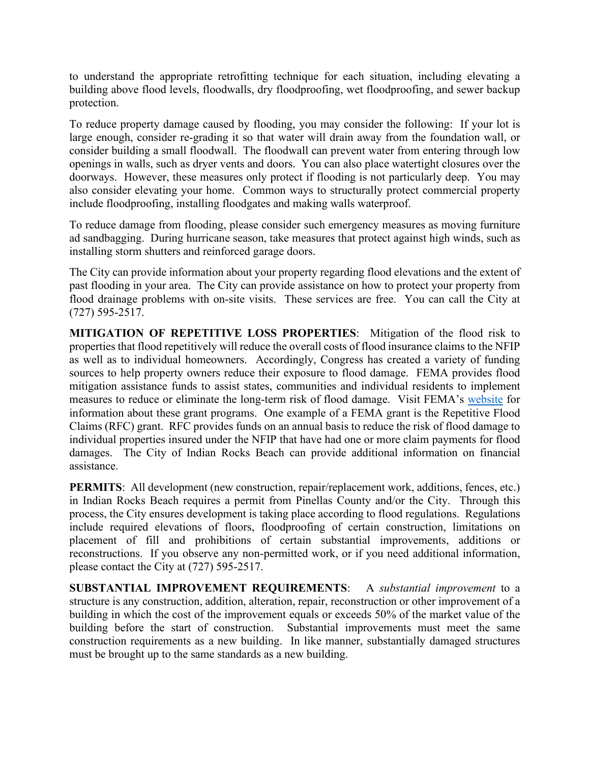to understand the appropriate retrofitting technique for each situation, including elevating a building above flood levels, floodwalls, dry floodproofing, wet floodproofing, and sewer backup protection.

To reduce property damage caused by flooding, you may consider the following: If your lot is large enough, consider re-grading it so that water will drain away from the foundation wall, or consider building a small floodwall. The floodwall can prevent water from entering through low openings in walls, such as dryer vents and doors. You can also place watertight closures over the doorways. However, these measures only protect if flooding is not particularly deep. You may also consider elevating your home. Common ways to structurally protect commercial property include floodproofing, installing floodgates and making walls waterproof.

To reduce damage from flooding, please consider such emergency measures as moving furniture ad sandbagging. During hurricane season, take measures that protect against high winds, such as installing storm shutters and reinforced garage doors.

The City can provide information about your property regarding flood elevations and the extent of past flooding in your area. The City can provide assistance on how to protect your property from flood drainage problems with on-site visits. These services are free. You can call the City at (727) 595-2517.

**MITIGATION OF REPETITIVE LOSS PROPERTIES**: Mitigation of the flood risk to properties that flood repetitively will reduce the overall costs of flood insurance claims to the NFIP as well as to individual homeowners. Accordingly, Congress has created a variety of funding sources to help property owners reduce their exposure to flood damage. FEMA provides flood mitigation assistance funds to assist states, communities and individual residents to implement measures to reduce or eliminate the long-term risk of flood damage. Visit FEMA's [website](https://www.fema.gov/grants) for information about these grant programs. One example of a FEMA grant is the Repetitive Flood Claims (RFC) grant. RFC provides funds on an annual basis to reduce the risk of flood damage to individual properties insured under the NFIP that have had one or more claim payments for flood damages. The City of Indian Rocks Beach can provide additional information on financial assistance.

**PERMITS:** All development (new construction, repair/replacement work, additions, fences, etc.) in Indian Rocks Beach requires a permit from Pinellas County and/or the City. Through this process, the City ensures development is taking place according to flood regulations. Regulations include required elevations of floors, floodproofing of certain construction, limitations on placement of fill and prohibitions of certain substantial improvements, additions or reconstructions. If you observe any non-permitted work, or if you need additional information, please contact the City at (727) 595-2517.

**SUBSTANTIAL IMPROVEMENT REQUIREMENTS**: A *substantial improvement* to a structure is any construction, addition, alteration, repair, reconstruction or other improvement of a building in which the cost of the improvement equals or exceeds 50% of the market value of the building before the start of construction. Substantial improvements must meet the same construction requirements as a new building. In like manner, substantially damaged structures must be brought up to the same standards as a new building.